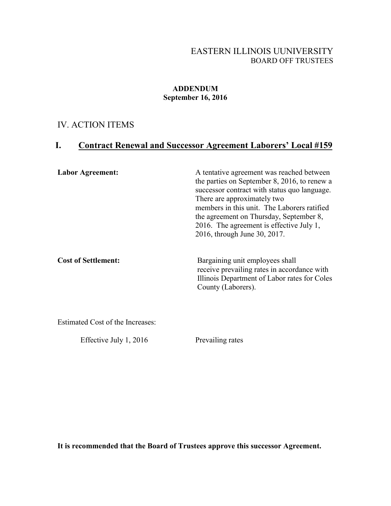#### EASTERN ILLINOIS UUNIVERSITY BOARD OFF TRUSTEES

#### **ADDENDUM September 16, 2016**

# IV. ACTION ITEMS

# **I. Contract Renewal and Successor Agreement Laborers' Local #159**

| <b>Labor Agreement:</b>    | A tentative agreement was reached between<br>the parties on September 8, 2016, to renew a<br>successor contract with status quo language.<br>There are approximately two<br>members in this unit. The Laborers ratified<br>the agreement on Thursday, September 8,<br>2016. The agreement is effective July 1,<br>2016, through June 30, 2017. |
|----------------------------|------------------------------------------------------------------------------------------------------------------------------------------------------------------------------------------------------------------------------------------------------------------------------------------------------------------------------------------------|
| <b>Cost of Settlement:</b> | Bargaining unit employees shall<br>receive prevailing rates in accordance with<br>Illinois Department of Labor rates for Coles<br>County (Laborers).                                                                                                                                                                                           |

Estimated Cost of the Increases:

Effective July 1, 2016 Prevailing rates

**It is recommended that the Board of Trustees approve this successor Agreement.**